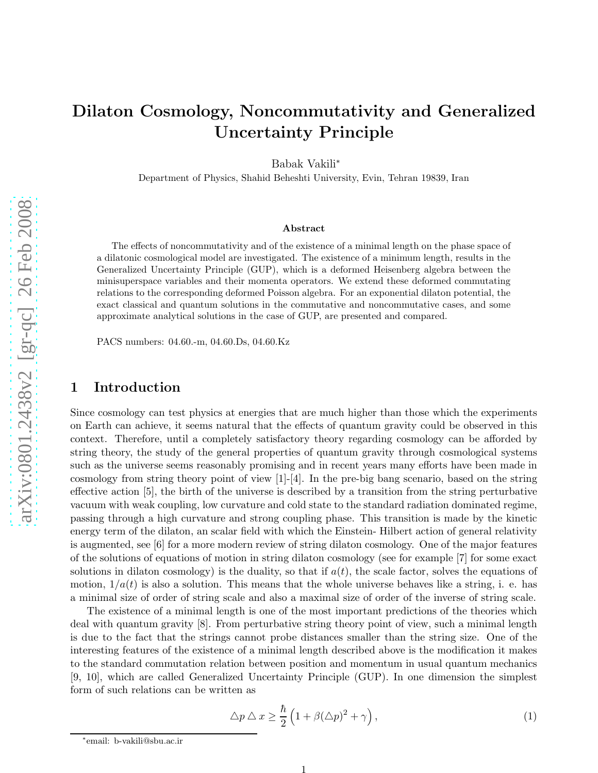# Dilaton Cosmology, Noncommutativity and Generalized Uncertainty Principle

Babak Vakili ∗

Department of Physics, Shahid Beheshti University, Evin, Tehran 19839, Iran

#### Abstract

The effects of noncommutativity and of the existence of a minimal length on the phase space of a dilatonic cosmological model are investigated. The existence of a minimum length, results in the Generalized Uncertainty Principle (GUP), which is a deformed Heisenberg algebra between the minisuperspace variables and their momenta operators. We extend these deformed commutating relations to the corresponding deformed Poisson algebra. For an exponential dilaton potential, the exact classical and quantum solutions in the commutative and noncommutative cases, and some approximate analytical solutions in the case of GUP, are presented and compared.

PACS numbers: 04.60.-m, 04.60.Ds, 04.60.Kz

### 1 Introduction

Since cosmology can test physics at energies that are much higher than those which the experiments on Earth can achieve, it seems natural that the effects of quantum gravity could be observed in this context. Therefore, until a completely satisfactory theory regarding cosmology can be afforded by string theory, the study of the general properties of quantum gravity through cosmological systems such as the universe seems reasonably promising and in recent years many efforts have been made in cosmology from string theory point of view  $[1]-[4]$ . In the pre-big bang scenario, based on the string effective action [5], the birth of the universe is described by a transition from the string perturbative vacuum with weak coupling, low curvature and cold state to the standard radiation dominated regime, passing through a high curvature and strong coupling phase. This transition is made by the kinetic energy term of the dilaton, an scalar field with which the Einstein- Hilbert action of general relativity is augmented, see [6] for a more modern review of string dilaton cosmology. One of the major features of the solutions of equations of motion in string dilaton cosmology (see for example [7] for some exact solutions in dilaton cosmology) is the duality, so that if  $a(t)$ , the scale factor, solves the equations of motion,  $1/a(t)$  is also a solution. This means that the whole universe behaves like a string, i. e. has a minimal size of order of string scale and also a maximal size of order of the inverse of string scale.

The existence of a minimal length is one of the most important predictions of the theories which deal with quantum gravity [8]. From perturbative string theory point of view, such a minimal length is due to the fact that the strings cannot probe distances smaller than the string size. One of the interesting features of the existence of a minimal length described above is the modification it makes to the standard commutation relation between position and momentum in usual quantum mechanics [9, 10], which are called Generalized Uncertainty Principle (GUP). In one dimension the simplest form of such relations can be written as

$$
\Delta p \Delta x \ge \frac{\hbar}{2} \left( 1 + \beta (\Delta p)^2 + \gamma \right),\tag{1}
$$

<sup>∗</sup> email: b-vakili@sbu.ac.ir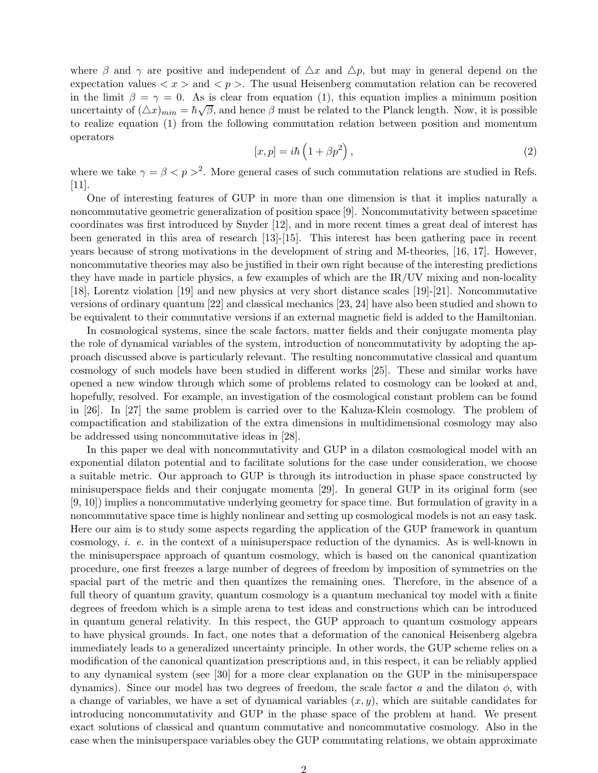where  $\beta$  and  $\gamma$  are positive and independent of  $\Delta x$  and  $\Delta p$ , but may in general depend on the expectation values  $\langle x \rangle$  and  $\langle p \rangle$ . The usual Heisenberg commutation relation can be recovered in the limit  $\beta = \gamma = 0$ . As is clear from equation (1), this equation implies a minimum position uncertainty of  $(\triangle x)_{min} = \hbar \sqrt{\beta}$ , and hence  $\beta$  must be related to the Planck length. Now, it is possible to realize equation (1) from the following commutation relation between position and momentum operators

$$
[x,p] = i\hbar \left(1 + \beta p^2\right),\tag{2}
$$

where we take  $\gamma = \beta \langle p \rangle^2$ . More general cases of such commutation relations are studied in Refs. [11].

One of interesting features of GUP in more than one dimension is that it implies naturally a noncommutative geometric generalization of position space [9]. Noncommutativity between spacetime coordinates was first introduced by Snyder [12], and in more recent times a great deal of interest has been generated in this area of research [13]-[15]. This interest has been gathering pace in recent years because of strong motivations in the development of string and M-theories, [16, 17]. However, noncommutative theories may also be justified in their own right because of the interesting predictions they have made in particle physics, a few examples of which are the  $IR/UV$  mixing and non-locality [18], Lorentz violation [19] and new physics at very short distance scales [19]-[21]. Noncommutative versions of ordinary quantum [22] and classical mechanics [23, 24] have also been studied and shown to be equivalent to their commutative versions if an external magnetic field is added to the Hamiltonian.

In cosmological systems, since the scale factors, matter fields and their conjugate momenta play the role of dynamical variables of the system, introduction of noncommutativity by adopting the approach discussed above is particularly relevant. The resulting noncommutative classical and quantum cosmology of such models have been studied in different works [25]. These and similar works have opened a new window through which some of problems related to cosmology can be looked at and, hopefully, resolved. For example, an investigation of the cosmological constant problem can be found in [26]. In [27] the same problem is carried over to the Kaluza-Klein cosmology. The problem of compactification and stabilization of the extra dimensions in multidimensional cosmology may also be addressed using noncommutative ideas in [28].

In this paper we deal with noncommutativity and GUP in a dilaton cosmological model with an exponential dilaton potential and to facilitate solutions for the case under consideration, we choose a suitable metric. Our approach to GUP is through its introduction in phase space constructed by minisuperspace fields and their conjugate momenta [29]. In general GUP in its original form (see [9, 10]) implies a noncommutative underlying geometry for space time. But formulation of gravity in a noncommutative space time is highly nonlinear and setting up cosmological models is not an easy task. Here our aim is to study some aspects regarding the application of the GUP framework in quantum cosmology, i. e. in the context of a minisuperspace reduction of the dynamics. As is well-known in the minisuperspace approach of quantum cosmology, which is based on the canonical quantization procedure, one first freezes a large number of degrees of freedom by imposition of symmetries on the spacial part of the metric and then quantizes the remaining ones. Therefore, in the absence of a full theory of quantum gravity, quantum cosmology is a quantum mechanical toy model with a finite degrees of freedom which is a simple arena to test ideas and constructions which can be introduced in quantum general relativity. In this respect, the GUP approach to quantum cosmology appears to have physical grounds. In fact, one notes that a deformation of the canonical Heisenberg algebra immediately leads to a generalized uncertainty principle. In other words, the GUP scheme relies on a modification of the canonical quantization prescriptions and, in this respect, it can be reliably applied to any dynamical system (see [30] for a more clear explanation on the GUP in the minisuperspace dynamics). Since our model has two degrees of freedom, the scale factor a and the dilaton  $\phi$ , with a change of variables, we have a set of dynamical variables  $(x, y)$ , which are suitable candidates for introducing noncommutativity and GUP in the phase space of the problem at hand. We present exact solutions of classical and quantum commutative and noncommutative cosmology. Also in the case when the minisuperspace variables obey the GUP commutating relations, we obtain approximate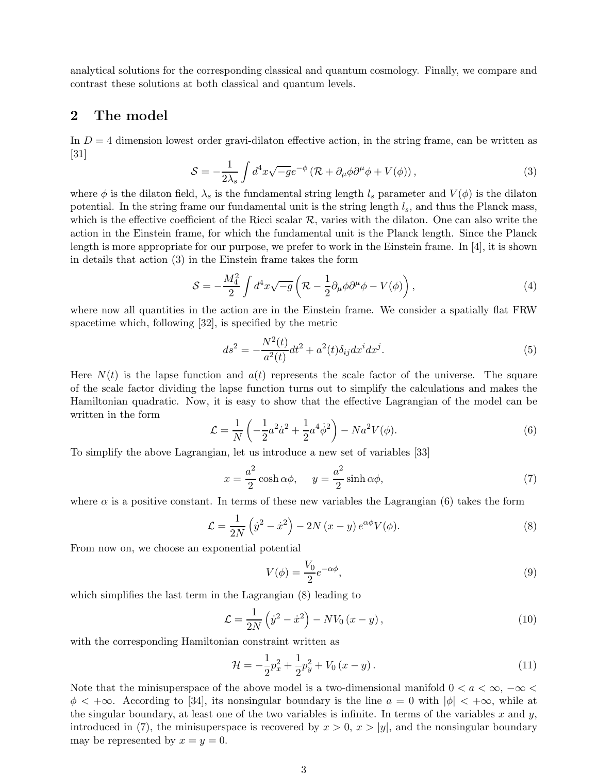analytical solutions for the corresponding classical and quantum cosmology. Finally, we compare and contrast these solutions at both classical and quantum levels.

### 2 The model

In  $D = 4$  dimension lowest order gravi-dilaton effective action, in the string frame, can be written as [31]

$$
S = -\frac{1}{2\lambda_s} \int d^4x \sqrt{-g} e^{-\phi} \left( \mathcal{R} + \partial_\mu \phi \partial^\mu \phi + V(\phi) \right), \tag{3}
$$

where  $\phi$  is the dilaton field,  $\lambda_s$  is the fundamental string length  $l_s$  parameter and  $V(\phi)$  is the dilaton potential. In the string frame our fundamental unit is the string length  $l_s$ , and thus the Planck mass, which is the effective coefficient of the Ricci scalar  $R$ , varies with the dilaton. One can also write the action in the Einstein frame, for which the fundamental unit is the Planck length. Since the Planck length is more appropriate for our purpose, we prefer to work in the Einstein frame. In [4], it is shown in details that action (3) in the Einstein frame takes the form

$$
S = -\frac{M_4^2}{2} \int d^4x \sqrt{-g} \left( \mathcal{R} - \frac{1}{2} \partial_\mu \phi \partial^\mu \phi - V(\phi) \right), \tag{4}
$$

where now all quantities in the action are in the Einstein frame. We consider a spatially flat FRW spacetime which, following [32], is specified by the metric

$$
ds^{2} = -\frac{N^{2}(t)}{a^{2}(t)}dt^{2} + a^{2}(t)\delta_{ij}dx^{i}dx^{j}.
$$
\n(5)

Here  $N(t)$  is the lapse function and  $a(t)$  represents the scale factor of the universe. The square of the scale factor dividing the lapse function turns out to simplify the calculations and makes the Hamiltonian quadratic. Now, it is easy to show that the effective Lagrangian of the model can be written in the form

$$
\mathcal{L} = \frac{1}{N} \left( -\frac{1}{2} a^2 \dot{a}^2 + \frac{1}{2} a^4 \dot{\phi}^2 \right) - N a^2 V(\phi). \tag{6}
$$

To simplify the above Lagrangian, let us introduce a new set of variables [33]

$$
x = \frac{a^2}{2}\cosh\alpha\phi, \quad y = \frac{a^2}{2}\sinh\alpha\phi,
$$
 (7)

where  $\alpha$  is a positive constant. In terms of these new variables the Lagrangian (6) takes the form

$$
\mathcal{L} = \frac{1}{2N} \left( \dot{y}^2 - \dot{x}^2 \right) - 2N \left( x - y \right) e^{\alpha \phi} V(\phi). \tag{8}
$$

From now on, we choose an exponential potential

$$
V(\phi) = \frac{V_0}{2} e^{-\alpha \phi},\tag{9}
$$

which simplifies the last term in the Lagrangian (8) leading to

$$
\mathcal{L} = \frac{1}{2N} \left( \dot{y}^2 - \dot{x}^2 \right) - NV_0 \left( x - y \right),\tag{10}
$$

with the corresponding Hamiltonian constraint written as

$$
\mathcal{H} = -\frac{1}{2}p_x^2 + \frac{1}{2}p_y^2 + V_0(x - y). \tag{11}
$$

Note that the minisuperspace of the above model is a two-dimensional manifold  $0 < a < \infty$ ,  $-\infty <$  $\phi < +\infty$ . According to [34], its nonsingular boundary is the line  $a = 0$  with  $|\phi| < +\infty$ , while at the singular boundary, at least one of the two variables is infinite. In terms of the variables x and y, introduced in (7), the minisuperspace is recovered by  $x > 0$ ,  $x > |y|$ , and the nonsingular boundary may be represented by  $x = y = 0$ .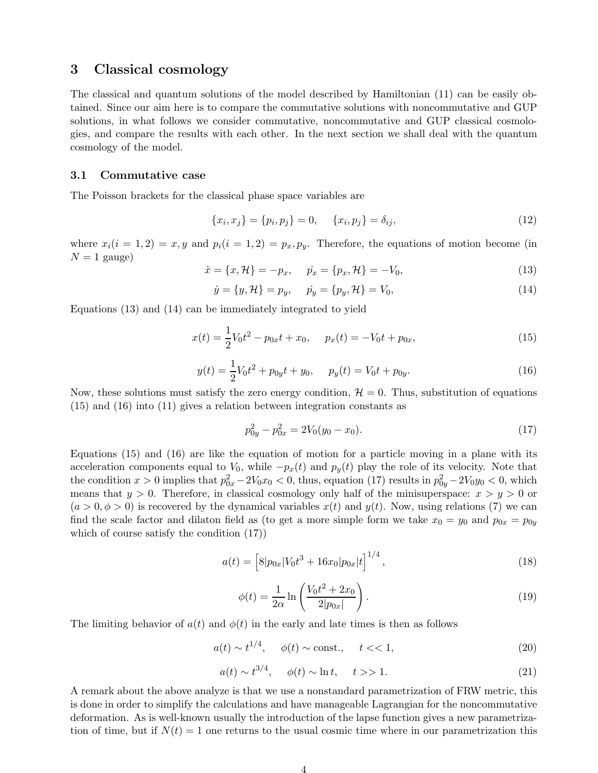### 3 Classical cosmology

The classical and quantum solutions of the model described by Hamiltonian (11) can be easily obtained. Since our aim here is to compare the commutative solutions with noncommutative and GUP solutions, in what follows we consider commutative, noncommutative and GUP classical cosmologies, and compare the results with each other. In the next section we shall deal with the quantum cosmology of the model.

### 3.1 Commutative case

The Poisson brackets for the classical phase space variables are

$$
\{x_i, x_j\} = \{p_i, p_j\} = 0, \quad \{x_i, p_j\} = \delta_{ij}, \tag{12}
$$

where  $x_i(i = 1, 2) = x, y$  and  $p_i(i = 1, 2) = p_x, p_y$ . Therefore, the equations of motion become (in  $N = 1$  gauge)

$$
\dot{x} = \{x, \mathcal{H}\} = -p_x, \quad \dot{p}_x = \{p_x, \mathcal{H}\} = -V_0,\tag{13}
$$

$$
\dot{y} = \{y, \mathcal{H}\} = p_y, \quad \dot{p}_y = \{p_y, \mathcal{H}\} = V_0,
$$
\n(14)

Equations (13) and (14) can be immediately integrated to yield

$$
x(t) = \frac{1}{2}V_0t^2 - p_{0x}t + x_0, \quad p_x(t) = -V_0t + p_{0x}, \tag{15}
$$

$$
y(t) = \frac{1}{2}V_0t^2 + p_{0y}t + y_0, \quad p_y(t) = V_0t + p_{0y}.
$$
 (16)

Now, these solutions must satisfy the zero energy condition,  $\mathcal{H} = 0$ . Thus, substitution of equations (15) and (16) into (11) gives a relation between integration constants as

$$
p_{0y}^2 - p_{0x}^2 = 2V_0(y_0 - x_0). \tag{17}
$$

Equations (15) and (16) are like the equation of motion for a particle moving in a plane with its acceleration components equal to  $V_0$ , while  $-p_x(t)$  and  $p_y(t)$  play the role of its velocity. Note that the condition  $x > 0$  implies that  $p_{0x}^2 - 2V_0x_0 < 0$ , thus, equation (17) results in  $p_{0y}^2 - 2V_0y_0 < 0$ , which means that  $y > 0$ . Therefore, in classical cosmology only half of the minisuperspace:  $x > y > 0$  or  $(a > 0, \phi > 0)$  is recovered by the dynamical variables  $x(t)$  and  $y(t)$ . Now, using relations (7) we can find the scale factor and dilaton field as (to get a more simple form we take  $x_0 = y_0$  and  $p_{0x} = p_{0y}$ which of course satisfy the condition (17))

$$
a(t) = \left[8|p_{0x}|V_0t^3 + 16x_0|p_{0x}|t\right]^{1/4},\tag{18}
$$

$$
\phi(t) = \frac{1}{2\alpha} \ln \left( \frac{V_0 t^2 + 2x_0}{2|p_{0x}|} \right).
$$
\n(19)

The limiting behavior of  $a(t)$  and  $\phi(t)$  in the early and late times is then as follows

$$
a(t) \sim t^{1/4}, \quad \phi(t) \sim \text{const.}, \quad t \ll 1,
$$
\n
$$
(20)
$$

$$
a(t) \sim t^{3/4}, \quad \phi(t) \sim \ln t, \quad t >> 1. \tag{21}
$$

A remark about the above analyze is that we use a nonstandard parametrization of FRW metric, this is done in order to simplify the calculations and have manageable Lagrangian for the noncommutative deformation. As is well-known usually the introduction of the lapse function gives a new parametrization of time, but if  $N(t) = 1$  one returns to the usual cosmic time where in our parametrization this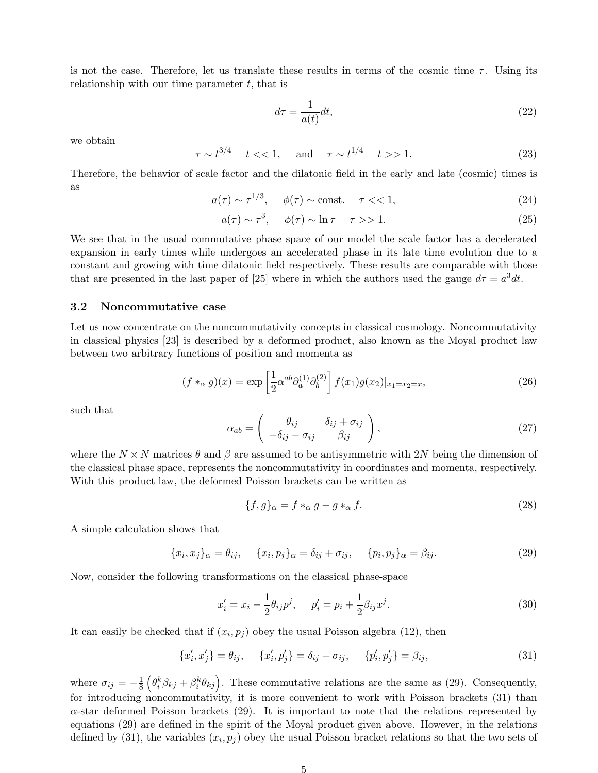is not the case. Therefore, let us translate these results in terms of the cosmic time  $\tau$ . Using its relationship with our time parameter  $t$ , that is

$$
d\tau = \frac{1}{a(t)}dt,\t\t(22)
$$

we obtain

$$
\tau \sim t^{3/4}
$$
  $t < 1$ , and  $\tau \sim t^{1/4}$   $t > 1$ . (23)

Therefore, the behavior of scale factor and the dilatonic field in the early and late (cosmic) times is as

$$
a(\tau) \sim \tau^{1/3}, \quad \phi(\tau) \sim \text{const.} \quad \tau \ll 1,
$$
\n<sup>(24)</sup>

$$
a(\tau) \sim \tau^3, \quad \phi(\tau) \sim \ln \tau \quad \tau >> 1. \tag{25}
$$

We see that in the usual commutative phase space of our model the scale factor has a decelerated expansion in early times while undergoes an accelerated phase in its late time evolution due to a constant and growing with time dilatonic field respectively. These results are comparable with those that are presented in the last paper of [25] where in which the authors used the gauge  $d\tau = a^3 dt$ .

#### 3.2 Noncommutative case

Let us now concentrate on the noncommutativity concepts in classical cosmology. Noncommutativity in classical physics [23] is described by a deformed product, also known as the Moyal product law between two arbitrary functions of position and momenta as

$$
(f *_{\alpha} g)(x) = \exp\left[\frac{1}{2}\alpha^{ab}\partial_{a}^{(1)}\partial_{b}^{(2)}\right]f(x_{1})g(x_{2})|_{x_{1}=x_{2}=x},
$$
\n(26)

such that

$$
\alpha_{ab} = \begin{pmatrix} \theta_{ij} & \delta_{ij} + \sigma_{ij} \\ -\delta_{ij} - \sigma_{ij} & \beta_{ij} \end{pmatrix},
$$
\n(27)

where the  $N \times N$  matrices  $\theta$  and  $\beta$  are assumed to be antisymmetric with 2N being the dimension of the classical phase space, represents the noncommutativity in coordinates and momenta, respectively. With this product law, the deformed Poisson brackets can be written as

$$
\{f,g\}_{\alpha} = f *_{\alpha} g - g *_{\alpha} f. \tag{28}
$$

A simple calculation shows that

$$
\{x_i, x_j\}_{\alpha} = \theta_{ij}, \quad \{x_i, p_j\}_{\alpha} = \delta_{ij} + \sigma_{ij}, \quad \{p_i, p_j\}_{\alpha} = \beta_{ij}.
$$
\n(29)

Now, consider the following transformations on the classical phase-space

$$
x'_{i} = x_{i} - \frac{1}{2}\theta_{ij}p^{j}, \quad p'_{i} = p_{i} + \frac{1}{2}\beta_{ij}x^{j}.
$$
 (30)

It can easily be checked that if  $(x_i, p_j)$  obey the usual Poisson algebra (12), then

$$
\{x'_{i}, x'_{j}\} = \theta_{ij}, \quad \{x'_{i}, p'_{j}\} = \delta_{ij} + \sigma_{ij}, \quad \{p'_{i}, p'_{j}\} = \beta_{ij},
$$
\n(31)

where  $\sigma_{ij} = -\frac{1}{8} \left( \theta_i^k \beta_{kj} + \beta_i^k \theta_{kj} \right)$ . These commutative relations are the same as (29). Consequently, for introducing noncommutativity, it is more convenient to work with Poisson brackets (31) than  $\alpha$ -star deformed Poisson brackets (29). It is important to note that the relations represented by equations (29) are defined in the spirit of the Moyal product given above. However, in the relations defined by (31), the variables  $(x_i, p_j)$  obey the usual Poisson bracket relations so that the two sets of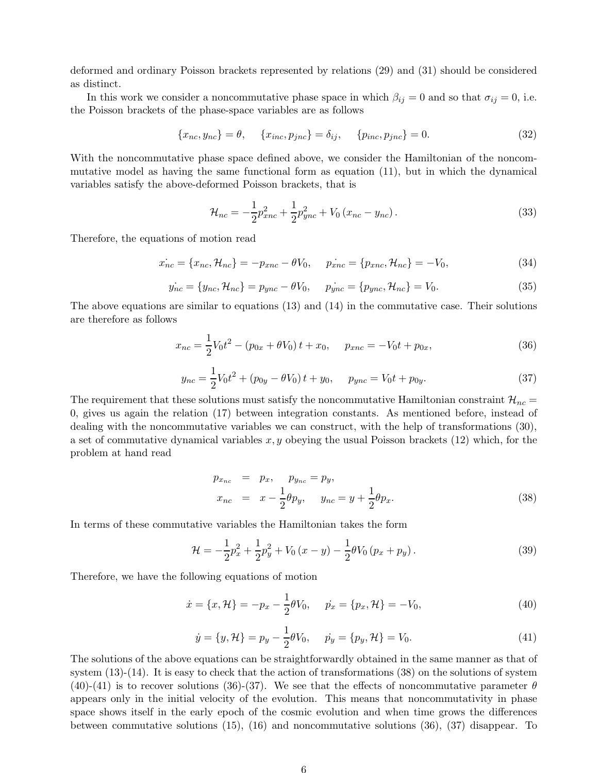deformed and ordinary Poisson brackets represented by relations (29) and (31) should be considered as distinct.

In this work we consider a noncommutative phase space in which  $\beta_{ij} = 0$  and so that  $\sigma_{ij} = 0$ , i.e. the Poisson brackets of the phase-space variables are as follows

$$
\{x_{nc}, y_{nc}\} = \theta, \quad \{x_{inc}, p_{jnc}\} = \delta_{ij}, \quad \{p_{inc}, p_{jnc}\} = 0.
$$
 (32)

With the noncommutative phase space defined above, we consider the Hamiltonian of the noncommutative model as having the same functional form as equation (11), but in which the dynamical variables satisfy the above-deformed Poisson brackets, that is

$$
\mathcal{H}_{nc} = -\frac{1}{2}p_{xnc}^2 + \frac{1}{2}p_{ync}^2 + V_0(x_{nc} - y_{nc}).
$$
\n(33)

Therefore, the equations of motion read

$$
\dot{x_{nc}} = \{x_{nc}, \mathcal{H}_{nc}\} = -p_{xnc} - \theta V_0, \quad \dot{p_{xnc}} = \{p_{xnc}, \mathcal{H}_{nc}\} = -V_0,\tag{34}
$$

$$
\dot{y_{nc}} = \{y_{nc}, \mathcal{H}_{nc}\} = p_{ync} - \theta V_0, \quad \dot{p_{ync}} = \{p_{ync}, \mathcal{H}_{nc}\} = V_0.
$$
\n(35)

The above equations are similar to equations (13) and (14) in the commutative case. Their solutions are therefore as follows

$$
x_{nc} = \frac{1}{2}V_0t^2 - (p_{0x} + \theta V_0)t + x_0, \quad p_{xnc} = -V_0t + p_{0x}, \tag{36}
$$

$$
y_{nc} = \frac{1}{2}V_0t^2 + (p_{0y} - \theta V_0)t + y_0, \quad p_{ync} = V_0t + p_{0y}.
$$
 (37)

The requirement that these solutions must satisfy the noncommutative Hamiltonian constraint  $\mathcal{H}_{nc}$  = 0, gives us again the relation (17) between integration constants. As mentioned before, instead of dealing with the noncommutative variables we can construct, with the help of transformations (30), a set of commutative dynamical variables  $x, y$  obeying the usual Poisson brackets (12) which, for the problem at hand read

$$
p_{x_{nc}} = p_x, \quad p_{y_{nc}} = p_y, \n x_{nc} = x - \frac{1}{2}\theta p_y, \quad y_{nc} = y + \frac{1}{2}\theta p_x.
$$
\n(38)

In terms of these commutative variables the Hamiltonian takes the form

$$
\mathcal{H} = -\frac{1}{2}p_x^2 + \frac{1}{2}p_y^2 + V_0(x - y) - \frac{1}{2}\theta V_0(p_x + p_y).
$$
 (39)

Therefore, we have the following equations of motion

$$
\dot{x} = \{x, \mathcal{H}\} = -p_x - \frac{1}{2}\theta V_0, \quad \dot{p}_x = \{p_x, \mathcal{H}\} = -V_0,\tag{40}
$$

$$
\dot{y} = \{y, \mathcal{H}\} = p_y - \frac{1}{2}\theta V_0, \quad \dot{p}_y = \{p_y, \mathcal{H}\} = V_0.
$$
\n(41)

The solutions of the above equations can be straightforwardly obtained in the same manner as that of system  $(13)-(14)$ . It is easy to check that the action of transformations (38) on the solutions of system (40)-(41) is to recover solutions (36)-(37). We see that the effects of noncommutative parameter  $\theta$ appears only in the initial velocity of the evolution. This means that noncommutativity in phase space shows itself in the early epoch of the cosmic evolution and when time grows the differences between commutative solutions (15), (16) and noncommutative solutions (36), (37) disappear. To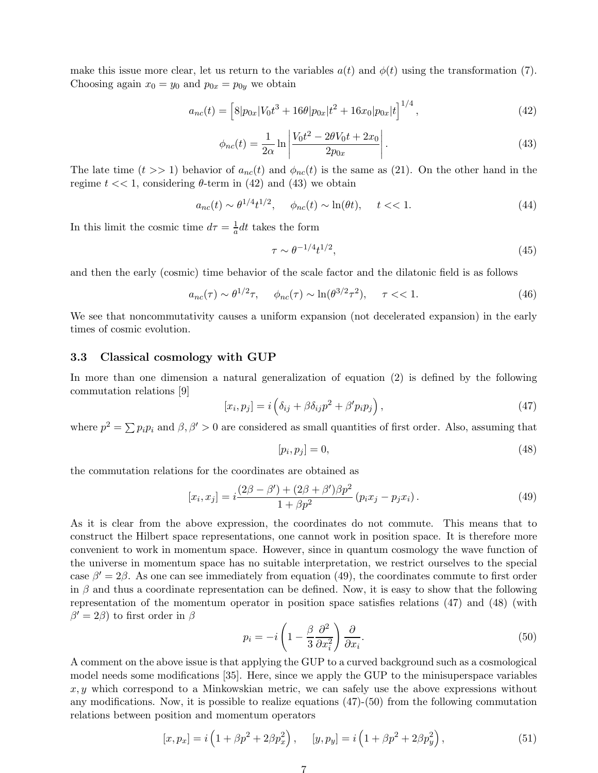make this issue more clear, let us return to the variables  $a(t)$  and  $\phi(t)$  using the transformation (7). Choosing again  $x_0 = y_0$  and  $p_{0x} = p_{0y}$  we obtain

$$
a_{nc}(t) = \left[8|p_{0x}|V_0t^3 + 16\theta|p_{0x}|t^2 + 16x_0|p_{0x}|t\right]^{1/4},\tag{42}
$$

$$
\phi_{nc}(t) = \frac{1}{2\alpha} \ln \left| \frac{V_0 t^2 - 2\theta V_0 t + 2x_0}{2p_{0x}} \right|.
$$
\n(43)

The late time  $(t >> 1)$  behavior of  $a_{nc}(t)$  and  $\phi_{nc}(t)$  is the same as (21). On the other hand in the regime  $t \ll 1$ , considering  $\theta$ -term in (42) and (43) we obtain

$$
a_{nc}(t) \sim \theta^{1/4} t^{1/2}, \quad \phi_{nc}(t) \sim \ln(\theta t), \quad t < 1.
$$
 (44)

In this limit the cosmic time  $d\tau = \frac{1}{a}dt$  takes the form

$$
\tau \sim \theta^{-1/4} t^{1/2},\tag{45}
$$

and then the early (cosmic) time behavior of the scale factor and the dilatonic field is as follows

$$
a_{nc}(\tau) \sim \theta^{1/2} \tau, \quad \phi_{nc}(\tau) \sim \ln(\theta^{3/2} \tau^2), \quad \tau \ll 1. \tag{46}
$$

We see that noncommutativity causes a uniform expansion (not decelerated expansion) in the early times of cosmic evolution.

#### 3.3 Classical cosmology with GUP

In more than one dimension a natural generalization of equation (2) is defined by the following commutation relations [9]

$$
[x_i, p_j] = i \left( \delta_{ij} + \beta \delta_{ij} p^2 + \beta' p_i p_j \right), \qquad (47)
$$

where  $p^2 = \sum p_i p_i$  and  $\beta, \beta' > 0$  are considered as small quantities of first order. Also, assuming that

$$
[p_i, p_j] = 0,\t\t(48)
$$

the commutation relations for the coordinates are obtained as

$$
[x_i, x_j] = i \frac{(2\beta - \beta') + (2\beta + \beta')\beta p^2}{1 + \beta p^2} (p_i x_j - p_j x_i).
$$
 (49)

As it is clear from the above expression, the coordinates do not commute. This means that to construct the Hilbert space representations, one cannot work in position space. It is therefore more convenient to work in momentum space. However, since in quantum cosmology the wave function of the universe in momentum space has no suitable interpretation, we restrict ourselves to the special case  $\beta' = 2\beta$ . As one can see immediately from equation (49), the coordinates commute to first order in  $\beta$  and thus a coordinate representation can be defined. Now, it is easy to show that the following representation of the momentum operator in position space satisfies relations (47) and (48) (with  $\beta' = 2\beta$ ) to first order in  $\beta$ 

$$
p_i = -i \left( 1 - \frac{\beta}{3} \frac{\partial^2}{\partial x_i^2} \right) \frac{\partial}{\partial x_i}.
$$
\n
$$
(50)
$$

A comment on the above issue is that applying the GUP to a curved background such as a cosmological model needs some modifications [35]. Here, since we apply the GUP to the minisuperspace variables  $x, y$  which correspond to a Minkowskian metric, we can safely use the above expressions without any modifications. Now, it is possible to realize equations  $(47)-(50)$  from the following commutation relations between position and momentum operators

$$
[x, p_x] = i \left( 1 + \beta p^2 + 2\beta p_x^2 \right), \quad [y, p_y] = i \left( 1 + \beta p^2 + 2\beta p_y^2 \right), \tag{51}
$$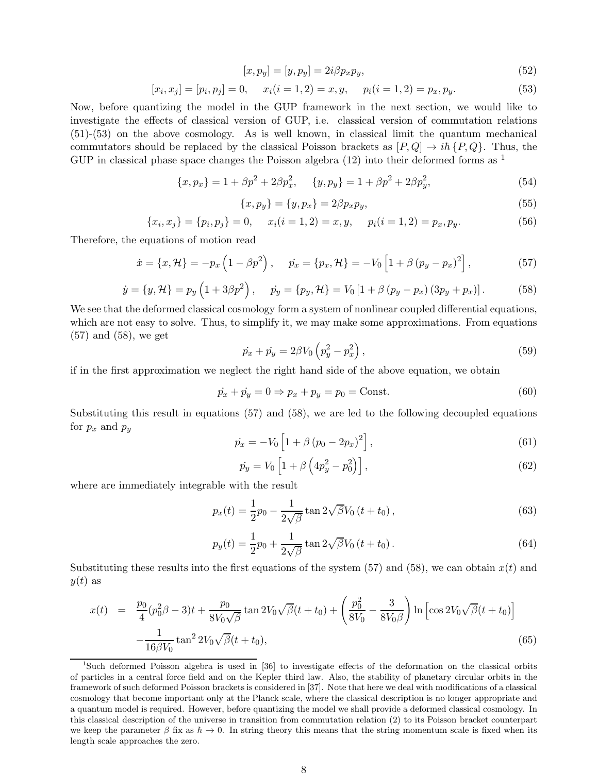$$
[x, p_y] = [y, p_y] = 2i\beta p_x p_y,\tag{52}
$$

$$
[x_i, x_j] = [p_i, p_j] = 0, \quad x_i(i = 1, 2) = x, y, \quad p_i(i = 1, 2) = p_x, p_y.
$$
\n
$$
(53)
$$

Now, before quantizing the model in the GUP framework in the next section, we would like to investigate the effects of classical version of GUP, i.e. classical version of commutation relations (51)-(53) on the above cosmology. As is well known, in classical limit the quantum mechanical commutators should be replaced by the classical Poisson brackets as  $[P,Q] \rightarrow i\hbar P,Q$ . Thus, the GUP in classical phase space changes the Poisson algebra  $(12)$  into their deformed forms as <sup>1</sup>

$$
\{x, p_x\} = 1 + \beta p^2 + 2\beta p_x^2, \quad \{y, p_y\} = 1 + \beta p^2 + 2\beta p_y^2,\tag{54}
$$

$$
\{x, p_y\} = \{y, p_x\} = 2\beta p_x p_y,\tag{55}
$$

$$
\{x_i, x_j\} = \{p_i, p_j\} = 0, \quad x_i(i = 1, 2) = x, y, \quad p_i(i = 1, 2) = p_x, p_y.
$$
\n
$$
(56)
$$

Therefore, the equations of motion read

$$
\dot{x} = \{x, \mathcal{H}\} = -p_x \left(1 - \beta p^2\right), \quad \dot{p}_x = \{p_x, \mathcal{H}\} = -V_0 \left[1 + \beta \left(p_y - p_x\right)^2\right],\tag{57}
$$

$$
\dot{y} = \{y, \mathcal{H}\} = p_y \left(1 + 3\beta p^2\right), \quad \dot{p}_y = \{p_y, \mathcal{H}\} = V_0 \left[1 + \beta \left(p_y - p_x\right) \left(3p_y + p_x\right)\right]. \tag{58}
$$

We see that the deformed classical cosmology form a system of nonlinear coupled differential equations, which are not easy to solve. Thus, to simplify it, we may make some approximations. From equations (57) and (58), we get

$$
\dot{p}_x + \dot{p}_y = 2\beta V_0 \left( p_y^2 - p_x^2 \right),\tag{59}
$$

if in the first approximation we neglect the right hand side of the above equation, we obtain

$$
\dot{p}_x + \dot{p}_y = 0 \Rightarrow p_x + p_y = p_0 = \text{Const.} \tag{60}
$$

Substituting this result in equations (57) and (58), we are led to the following decoupled equations for  $p_x$  and  $p_y$ 

$$
\dot{p_x} = -V_0 \left[ 1 + \beta (p_0 - 2p_x)^2 \right],\tag{61}
$$

$$
\dot{p}_y = V_0 \left[ 1 + \beta \left( 4p_y^2 - p_0^2 \right) \right],\tag{62}
$$

where are immediately integrable with the result

$$
p_x(t) = \frac{1}{2}p_0 - \frac{1}{2\sqrt{\beta}}\tan 2\sqrt{\beta}V_0(t+t_0),
$$
\n(63)

$$
p_y(t) = \frac{1}{2}p_0 + \frac{1}{2\sqrt{\beta}}\tan 2\sqrt{\beta}V_0(t+t_0).
$$
 (64)

Substituting these results into the first equations of the system  $(57)$  and  $(58)$ , we can obtain  $x(t)$  and  $y(t)$  as

$$
x(t) = \frac{p_0}{4} (p_0^2 \beta - 3)t + \frac{p_0}{8V_0 \sqrt{\beta}} \tan 2V_0 \sqrt{\beta} (t + t_0) + \left(\frac{p_0^2}{8V_0} - \frac{3}{8V_0 \beta}\right) \ln \left[\cos 2V_0 \sqrt{\beta} (t + t_0)\right] - \frac{1}{16\beta V_0} \tan^2 2V_0 \sqrt{\beta} (t + t_0),
$$
\n(65)

<sup>&</sup>lt;sup>1</sup>Such deformed Poisson algebra is used in [36] to investigate effects of the deformation on the classical orbits of particles in a central force field and on the Kepler third law. Also, the stability of planetary circular orbits in the framework of such deformed Poisson brackets is considered in [37]. Note that here we deal with modifications of a classical cosmology that become important only at the Planck scale, where the classical description is no longer appropriate and a quantum model is required. However, before quantizing the model we shall provide a deformed classical cosmology. In this classical description of the universe in transition from commutation relation (2) to its Poisson bracket counterpart we keep the parameter  $\beta$  fix as  $\hbar \to 0$ . In string theory this means that the string momentum scale is fixed when its length scale approaches the zero.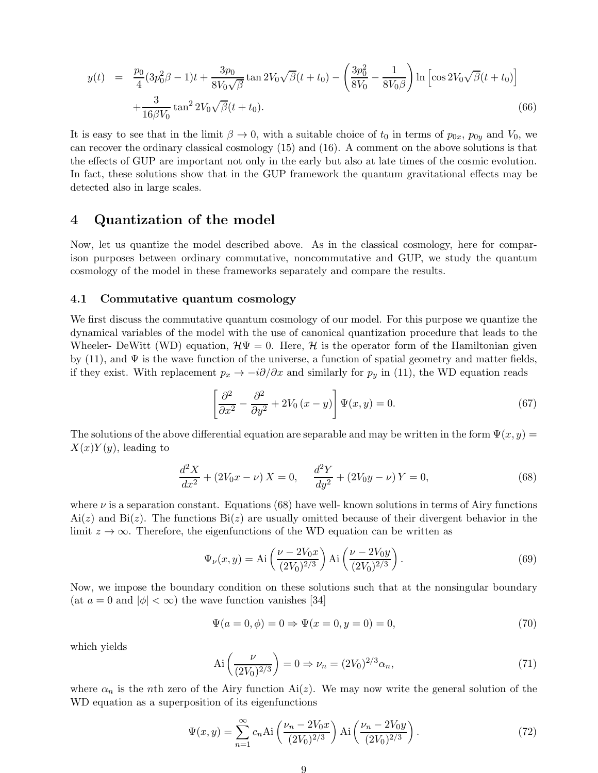$$
y(t) = \frac{p_0}{4} (3p_0^2 \beta - 1)t + \frac{3p_0}{8V_0\sqrt{\beta}} \tan 2V_0 \sqrt{\beta}(t + t_0) - \left(\frac{3p_0^2}{8V_0} - \frac{1}{8V_0\beta}\right) \ln\left[\cos 2V_0 \sqrt{\beta}(t + t_0)\right] + \frac{3}{16\beta V_0} \tan^2 2V_0 \sqrt{\beta}(t + t_0).
$$
\n(66)

It is easy to see that in the limit  $\beta \to 0$ , with a suitable choice of  $t_0$  in terms of  $p_{0x}$ ,  $p_{0y}$  and  $V_0$ , we can recover the ordinary classical cosmology (15) and (16). A comment on the above solutions is that the effects of GUP are important not only in the early but also at late times of the cosmic evolution. In fact, these solutions show that in the GUP framework the quantum gravitational effects may be detected also in large scales.

### 4 Quantization of the model

Now, let us quantize the model described above. As in the classical cosmology, here for comparison purposes between ordinary commutative, noncommutative and GUP, we study the quantum cosmology of the model in these frameworks separately and compare the results.

### 4.1 Commutative quantum cosmology

We first discuss the commutative quantum cosmology of our model. For this purpose we quantize the dynamical variables of the model with the use of canonical quantization procedure that leads to the Wheeler- DeWitt (WD) equation,  $\mathcal{H}\Psi = 0$ . Here, H is the operator form of the Hamiltonian given by (11), and  $\Psi$  is the wave function of the universe, a function of spatial geometry and matter fields, if they exist. With replacement  $p_x \to -i\partial/\partial x$  and similarly for  $p_y$  in (11), the WD equation reads

$$
\left[\frac{\partial^2}{\partial x^2} - \frac{\partial^2}{\partial y^2} + 2V_0(x - y)\right] \Psi(x, y) = 0.
$$
\n(67)

The solutions of the above differential equation are separable and may be written in the form  $\Psi(x, y) =$  $X(x)Y(y)$ , leading to

$$
\frac{d^2X}{dx^2} + (2V_0x - \nu) X = 0, \quad \frac{d^2Y}{dy^2} + (2V_0y - \nu) Y = 0,
$$
\n(68)

where  $\nu$  is a separation constant. Equations (68) have well-known solutions in terms of Airy functions  $Ai(z)$  and  $Bi(z)$ . The functions  $Bi(z)$  are usually omitted because of their divergent behavior in the limit  $z \to \infty$ . Therefore, the eigenfunctions of the WD equation can be written as

$$
\Psi_{\nu}(x,y) = \text{Ai}\left(\frac{\nu - 2V_0x}{(2V_0)^{2/3}}\right) \text{Ai}\left(\frac{\nu - 2V_0y}{(2V_0)^{2/3}}\right). \tag{69}
$$

Now, we impose the boundary condition on these solutions such that at the nonsingular boundary (at  $a = 0$  and  $|\phi| < \infty$ ) the wave function vanishes [34]

$$
\Psi(a = 0, \phi) = 0 \Rightarrow \Psi(x = 0, y = 0) = 0,\tag{70}
$$

which yields

$$
\text{Ai}\left(\frac{\nu}{(2V_0)^{2/3}}\right) = 0 \Rightarrow \nu_n = (2V_0)^{2/3} \alpha_n,\tag{71}
$$

where  $\alpha_n$  is the nth zero of the Airy function Ai(z). We may now write the general solution of the WD equation as a superposition of its eigenfunctions

$$
\Psi(x,y) = \sum_{n=1}^{\infty} c_n \text{Ai}\left(\frac{\nu_n - 2V_0 x}{(2V_0)^{2/3}}\right) \text{Ai}\left(\frac{\nu_n - 2V_0 y}{(2V_0)^{2/3}}\right). \tag{72}
$$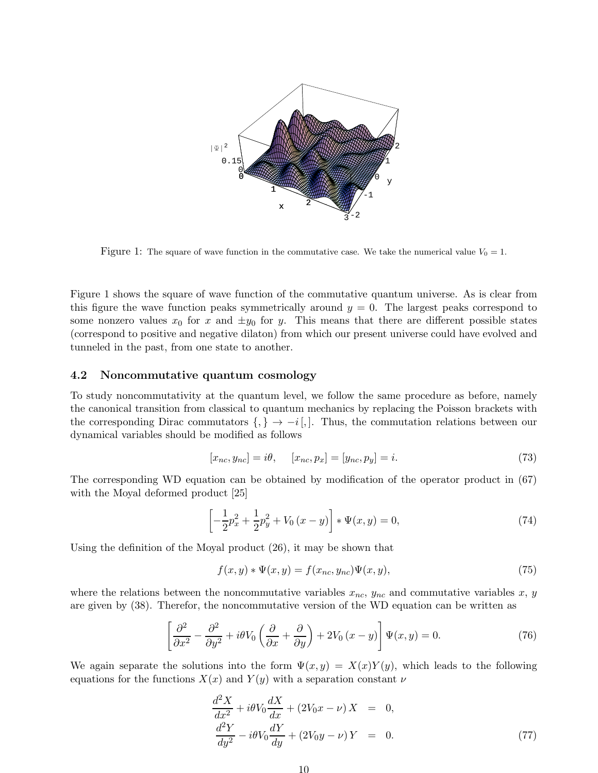

Figure 1: The square of wave function in the commutative case. We take the numerical value  $V_0 = 1$ .

Figure 1 shows the square of wave function of the commutative quantum universe. As is clear from this figure the wave function peaks symmetrically around  $y = 0$ . The largest peaks correspond to some nonzero values  $x_0$  for x and  $\pm y_0$  for y. This means that there are different possible states (correspond to positive and negative dilaton) from which our present universe could have evolved and tunneled in the past, from one state to another.

### 4.2 Noncommutative quantum cosmology

To study noncommutativity at the quantum level, we follow the same procedure as before, namely the canonical transition from classical to quantum mechanics by replacing the Poisson brackets with the corresponding Dirac commutators  $\{,\} \rightarrow -i\,$ . Thus, the commutation relations between our dynamical variables should be modified as follows

$$
[x_{nc}, y_{nc}] = i\theta, \quad [x_{nc}, p_x] = [y_{nc}, p_y] = i. \tag{73}
$$

The corresponding WD equation can be obtained by modification of the operator product in (67) with the Moyal deformed product [25]

$$
\left[ -\frac{1}{2}p_x^2 + \frac{1}{2}p_y^2 + V_0(x - y) \right] * \Psi(x, y) = 0,
$$
\n(74)

Using the definition of the Moyal product (26), it may be shown that

$$
f(x,y) * \Psi(x,y) = f(x_{nc}, y_{nc})\Psi(x,y),
$$
\n(75)

where the relations between the noncommutative variables  $x_{nc}$ ,  $y_{nc}$  and commutative variables x, y are given by (38). Therefor, the noncommutative version of the WD equation can be written as

$$
\left[\frac{\partial^2}{\partial x^2} - \frac{\partial^2}{\partial y^2} + i\theta V_0 \left(\frac{\partial}{\partial x} + \frac{\partial}{\partial y}\right) + 2V_0 (x - y)\right] \Psi(x, y) = 0.
$$
\n(76)

We again separate the solutions into the form  $\Psi(x, y) = X(x)Y(y)$ , which leads to the following equations for the functions  $X(x)$  and  $Y(y)$  with a separation constant  $\nu$ 

$$
\frac{d^2X}{dx^2} + i\theta V_0 \frac{dX}{dx} + (2V_0 x - \nu) X = 0,
$$
  

$$
\frac{d^2Y}{dy^2} - i\theta V_0 \frac{dY}{dy} + (2V_0 y - \nu) Y = 0.
$$
 (77)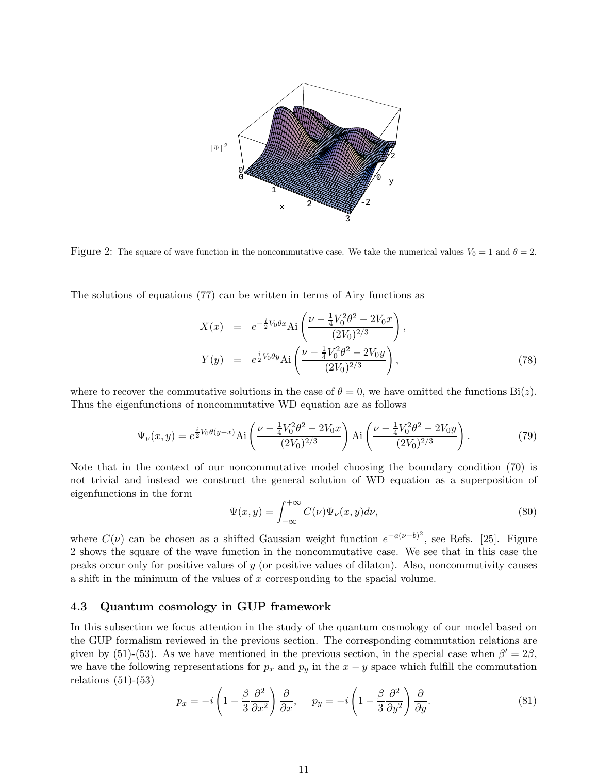

Figure 2: The square of wave function in the noncommutative case. We take the numerical values  $V_0 = 1$  and  $\theta = 2$ .

The solutions of equations (77) can be written in terms of Airy functions as

$$
X(x) = e^{-\frac{i}{2}V_0\theta x} \text{Ai}\left(\frac{\nu - \frac{1}{4}V_0^2\theta^2 - 2V_0x}{(2V_0)^{2/3}}\right),
$$
  
\n
$$
Y(y) = e^{\frac{i}{2}V_0\theta y} \text{Ai}\left(\frac{\nu - \frac{1}{4}V_0^2\theta^2 - 2V_0y}{(2V_0)^{2/3}}\right),
$$
\n(78)

where to recover the commutative solutions in the case of  $\theta = 0$ , we have omitted the functions  $\text{Bi}(z)$ . Thus the eigenfunctions of noncommutative WD equation are as follows

$$
\Psi_{\nu}(x,y) = e^{\frac{i}{2}V_0 \theta(y-x)} \text{Ai}\left(\frac{\nu - \frac{1}{4}V_0^2 \theta^2 - 2V_0 x}{(2V_0)^{2/3}}\right) \text{Ai}\left(\frac{\nu - \frac{1}{4}V_0^2 \theta^2 - 2V_0 y}{(2V_0)^{2/3}}\right). \tag{79}
$$

Note that in the context of our noncommutative model choosing the boundary condition (70) is not trivial and instead we construct the general solution of WD equation as a superposition of eigenfunctions in the form

$$
\Psi(x,y) = \int_{-\infty}^{+\infty} C(\nu)\Psi_{\nu}(x,y)d\nu,
$$
\n(80)

where  $C(\nu)$  can be chosen as a shifted Gaussian weight function  $e^{-a(\nu-b)^2}$ , see Refs. [25]. Figure 2 shows the square of the wave function in the noncommutative case. We see that in this case the peaks occur only for positive values of y (or positive values of dilaton). Also, noncommutivity causes a shift in the minimum of the values of x corresponding to the spacial volume.

### 4.3 Quantum cosmology in GUP framework

In this subsection we focus attention in the study of the quantum cosmology of our model based on the GUP formalism reviewed in the previous section. The corresponding commutation relations are given by (51)-(53). As we have mentioned in the previous section, in the special case when  $\beta' = 2\beta$ , we have the following representations for  $p_x$  and  $p_y$  in the  $x - y$  space which fulfill the commutation relations  $(51)-(53)$ 

$$
p_x = -i\left(1 - \frac{\beta}{3}\frac{\partial^2}{\partial x^2}\right)\frac{\partial}{\partial x}, \quad p_y = -i\left(1 - \frac{\beta}{3}\frac{\partial^2}{\partial y^2}\right)\frac{\partial}{\partial y}.
$$
 (81)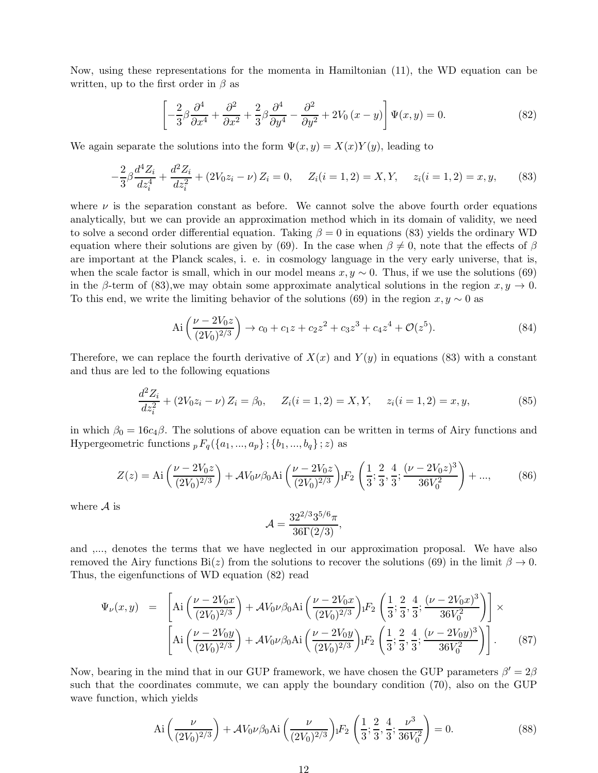Now, using these representations for the momenta in Hamiltonian (11), the WD equation can be written, up to the first order in  $\beta$  as

$$
\left[ -\frac{2}{3}\beta \frac{\partial^4}{\partial x^4} + \frac{\partial^2}{\partial x^2} + \frac{2}{3}\beta \frac{\partial^4}{\partial y^4} - \frac{\partial^2}{\partial y^2} + 2V_0(x - y) \right] \Psi(x, y) = 0.
$$
 (82)

We again separate the solutions into the form  $\Psi(x, y) = X(x)Y(y)$ , leading to

$$
-\frac{2}{3}\beta \frac{d^4 Z_i}{dz_i^4} + \frac{d^2 Z_i}{dz_i^2} + (2V_0 z_i - \nu) Z_i = 0, \quad Z_i(i = 1, 2) = X, Y, \quad z_i(i = 1, 2) = x, y,
$$
 (83)

where  $\nu$  is the separation constant as before. We cannot solve the above fourth order equations analytically, but we can provide an approximation method which in its domain of validity, we need to solve a second order differential equation. Taking  $\beta = 0$  in equations (83) yields the ordinary WD equation where their solutions are given by (69). In the case when  $\beta \neq 0$ , note that the effects of  $\beta$ are important at the Planck scales, i. e. in cosmology language in the very early universe, that is, when the scale factor is small, which in our model means  $x, y \sim 0$ . Thus, if we use the solutions (69) in the β-term of (83), we may obtain some approximate analytical solutions in the region  $x, y \to 0$ . To this end, we write the limiting behavior of the solutions (69) in the region  $x, y \sim 0$  as

$$
Ai\left(\frac{\nu - 2V_0 z}{(2V_0)^{2/3}}\right) \to c_0 + c_1 z + c_2 z^2 + c_3 z^3 + c_4 z^4 + \mathcal{O}(z^5).
$$
 (84)

Therefore, we can replace the fourth derivative of  $X(x)$  and  $Y(y)$  in equations (83) with a constant and thus are led to the following equations

$$
\frac{d^2 Z_i}{dz_i^2} + (2V_0 z_i - \nu) Z_i = \beta_0, \quad Z_i(i = 1, 2) = X, Y, \quad z_i(i = 1, 2) = x, y,
$$
\n(85)

in which  $\beta_0 = 16c_4\beta$ . The solutions of above equation can be written in terms of Airy functions and Hypergeometric functions  ${}_{p}F_{q}(\lbrace a_{1},...,a_{p}\rbrace ;\lbrace b_{1},...,b_{q}\rbrace ;z)$  as

$$
Z(z) = \text{Ai}\left(\frac{\nu - 2V_0 z}{(2V_0)^{2/3}}\right) + \mathcal{A}V_0 \nu \beta_0 \text{Ai}\left(\frac{\nu - 2V_0 z}{(2V_0)^{2/3}}\right) \cdot F_2 \left(\frac{1}{3}; \frac{2}{3}, \frac{4}{3}; \frac{(\nu - 2V_0 z)^3}{36V_0^2}\right) + ..., \tag{86}
$$

where  $A$  is

$$
\mathcal{A} = \frac{32^{2/3}3^{5/6}\pi}{36\Gamma(2/3)},
$$

and ,..., denotes the terms that we have neglected in our approximation proposal. We have also removed the Airy functions Bi(z) from the solutions to recover the solutions (69) in the limit  $\beta \to 0$ . Thus, the eigenfunctions of WD equation (82) read

$$
\Psi_{\nu}(x,y) = \left[ \text{Ai}\left(\frac{\nu - 2V_0x}{(2V_0)^{2/3}}\right) + \mathcal{A}V_0\nu\beta_0\text{Ai}\left(\frac{\nu - 2V_0x}{(2V_0)^{2/3}}\right) \cdot F_2\left(\frac{1}{3}; \frac{2}{3}, \frac{4}{3}; \frac{(\nu - 2V_0x)^3}{36V_0^2}\right) \right] \times \left[ \text{Ai}\left(\frac{\nu - 2V_0y}{(2V_0)^{2/3}}\right) + \mathcal{A}V_0\nu\beta_0\text{Ai}\left(\frac{\nu - 2V_0y}{(2V_0)^{2/3}}\right) \cdot F_2\left(\frac{1}{3}; \frac{2}{3}, \frac{4}{3}; \frac{(\nu - 2V_0y)^3}{36V_0^2}\right) \right].
$$
 (87)

Now, bearing in the mind that in our GUP framework, we have chosen the GUP parameters  $\beta' = 2\beta$ such that the coordinates commute, we can apply the boundary condition (70), also on the GUP wave function, which yields

$$
\text{Ai}\left(\frac{\nu}{(2V_0)^{2/3}}\right) + \mathcal{A}V_0\nu\beta_0\text{Ai}\left(\frac{\nu}{(2V_0)^{2/3}}\right) \cdot F_2\left(\frac{1}{3}; \frac{2}{3}, \frac{4}{3}; \frac{\nu^3}{36V_0^2}\right) = 0. \tag{88}
$$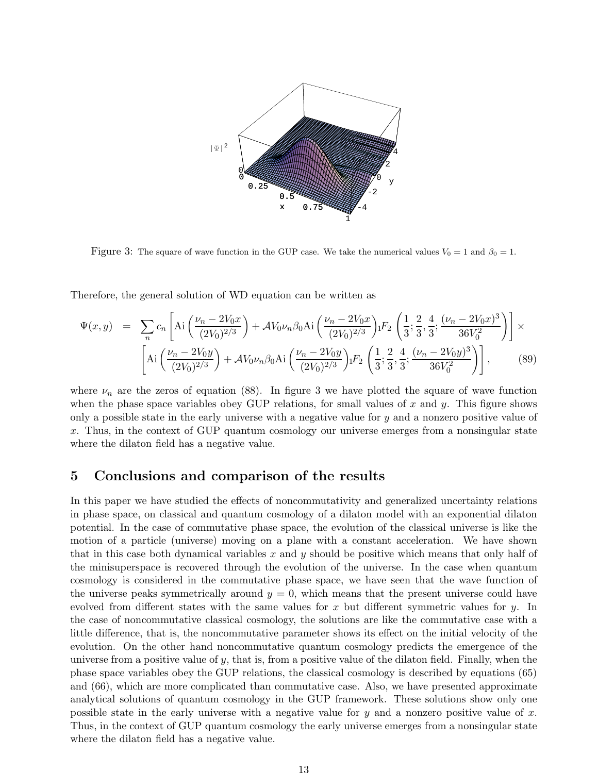

Figure 3: The square of wave function in the GUP case. We take the numerical values  $V_0 = 1$  and  $\beta_0 = 1$ .

Therefore, the general solution of WD equation can be written as

$$
\Psi(x,y) = \sum_{n} c_{n} \left[ \text{Ai}\left(\frac{\nu_{n} - 2V_{0}x}{(2V_{0})^{2/3}}\right) + \mathcal{A}V_{0}\nu_{n}\beta_{0}\text{Ai}\left(\frac{\nu_{n} - 2V_{0}x}{(2V_{0})^{2/3}}\right) \cdot F_{2}\left(\frac{1}{3}; \frac{2}{3}, \frac{4}{3}; \frac{(\nu_{n} - 2V_{0}x)^{3}}{36V_{0}^{2}}\right) \right] \times \left[ \text{Ai}\left(\frac{\nu_{n} - 2V_{0}y}{(2V_{0})^{2/3}}\right) + \mathcal{A}V_{0}\nu_{n}\beta_{0}\text{Ai}\left(\frac{\nu_{n} - 2V_{0}y}{(2V_{0})^{2/3}}\right) \cdot F_{2}\left(\frac{1}{3}; \frac{2}{3}, \frac{4}{3}; \frac{(\nu_{n} - 2V_{0}y)^{3}}{36V_{0}^{2}}\right) \right],
$$
\n(89)

where  $\nu_n$  are the zeros of equation (88). In figure 3 we have plotted the square of wave function when the phase space variables obey GUP relations, for small values of  $x$  and  $y$ . This figure shows only a possible state in the early universe with a negative value for  $y$  and a nonzero positive value of x. Thus, in the context of GUP quantum cosmology our universe emerges from a nonsingular state where the dilaton field has a negative value.

### 5 Conclusions and comparison of the results

In this paper we have studied the effects of noncommutativity and generalized uncertainty relations in phase space, on classical and quantum cosmology of a dilaton model with an exponential dilaton potential. In the case of commutative phase space, the evolution of the classical universe is like the motion of a particle (universe) moving on a plane with a constant acceleration. We have shown that in this case both dynamical variables x and y should be positive which means that only half of the minisuperspace is recovered through the evolution of the universe. In the case when quantum cosmology is considered in the commutative phase space, we have seen that the wave function of the universe peaks symmetrically around  $y = 0$ , which means that the present universe could have evolved from different states with the same values for x but different symmetric values for  $y$ . In the case of noncommutative classical cosmology, the solutions are like the commutative case with a little difference, that is, the noncommutative parameter shows its effect on the initial velocity of the evolution. On the other hand noncommutative quantum cosmology predicts the emergence of the universe from a positive value of  $y$ , that is, from a positive value of the dilaton field. Finally, when the phase space variables obey the GUP relations, the classical cosmology is described by equations (65) and (66), which are more complicated than commutative case. Also, we have presented approximate analytical solutions of quantum cosmology in the GUP framework. These solutions show only one possible state in the early universe with a negative value for  $y$  and a nonzero positive value of  $x$ . Thus, in the context of GUP quantum cosmology the early universe emerges from a nonsingular state where the dilaton field has a negative value.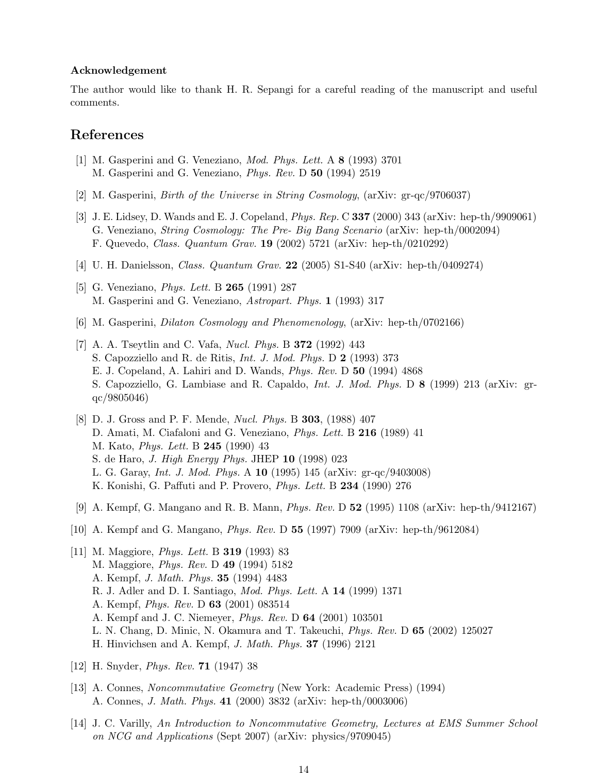#### Acknowledgement

The author would like to thank H. R. Sepangi for a careful reading of the manuscript and useful comments.

## References

- [1] M. Gasperini and G. Veneziano, Mod. Phys. Lett. A 8 (1993) 3701 M. Gasperini and G. Veneziano, Phys. Rev. D 50 (1994) 2519
- [2] M. Gasperini, Birth of the Universe in String Cosmology, (arXiv: gr-qc/9706037)
- [3] J. E. Lidsey, D. Wands and E. J. Copeland, Phys. Rep. C 337 (2000) 343 (arXiv: hep-th/9909061) G. Veneziano, String Cosmology: The Pre- Big Bang Scenario (arXiv: hep-th/0002094) F. Quevedo, Class. Quantum Grav. 19 (2002) 5721 (arXiv: hep-th/0210292)
- [4] U. H. Danielsson, Class. Quantum Grav. 22 (2005) S1-S40 (arXiv: hep-th/0409274)
- [5] G. Veneziano, *Phys. Lett.* B **265** (1991) 287 M. Gasperini and G. Veneziano, Astropart. Phys. 1 (1993) 317
- [6] M. Gasperini, Dilaton Cosmology and Phenomenology, (arXiv: hep-th/0702166)
- [7] A. A. Tseytlin and C. Vafa, Nucl. Phys. B 372 (1992) 443 S. Capozziello and R. de Ritis, Int. J. Mod. Phys. D 2 (1993) 373 E. J. Copeland, A. Lahiri and D. Wands, Phys. Rev. D 50 (1994) 4868 S. Capozziello, G. Lambiase and R. Capaldo, Int. J. Mod. Phys. D 8 (1999) 213 (arXiv: grqc/9805046)
- [8] D. J. Gross and P. F. Mende, Nucl. Phys. B 303, (1988) 407 D. Amati, M. Ciafaloni and G. Veneziano, *Phys. Lett.* B **216** (1989) 41 M. Kato, Phys. Lett. B 245 (1990) 43 S. de Haro, J. High Energy Phys. JHEP 10 (1998) 023 L. G. Garay, Int. J. Mod. Phys. A 10 (1995) 145 (arXiv: gr-qc/9403008) K. Konishi, G. Paffuti and P. Provero, Phys. Lett. B 234 (1990) 276
- [9] A. Kempf, G. Mangano and R. B. Mann, Phys. Rev. D 52 (1995) 1108 (arXiv: hep-th/9412167)
- [10] A. Kempf and G. Mangano, Phys. Rev. D 55 (1997) 7909 (arXiv: hep-th/9612084)
- [11] M. Maggiore, Phys. Lett. B 319 (1993) 83 M. Maggiore, Phys. Rev. D 49 (1994) 5182 A. Kempf, J. Math. Phys. 35 (1994) 4483 R. J. Adler and D. I. Santiago, Mod. Phys. Lett. A 14 (1999) 1371 A. Kempf, Phys. Rev. D 63 (2001) 083514 A. Kempf and J. C. Niemeyer, Phys. Rev. D 64 (2001) 103501 L. N. Chang, D. Minic, N. Okamura and T. Takeuchi, Phys. Rev. D 65 (2002) 125027 H. Hinvichsen and A. Kempf, J. Math. Phys. 37 (1996) 2121
- [12] H. Snyder, Phys. Rev. 71 (1947) 38
- [13] A. Connes, Noncommutative Geometry (New York: Academic Press) (1994) A. Connes, J. Math. Phys. 41 (2000) 3832 (arXiv: hep-th/0003006)
- [14] J. C. Varilly, An Introduction to Noncommutative Geometry, Lectures at EMS Summer School on NCG and Applications (Sept 2007) (arXiv: physics/9709045)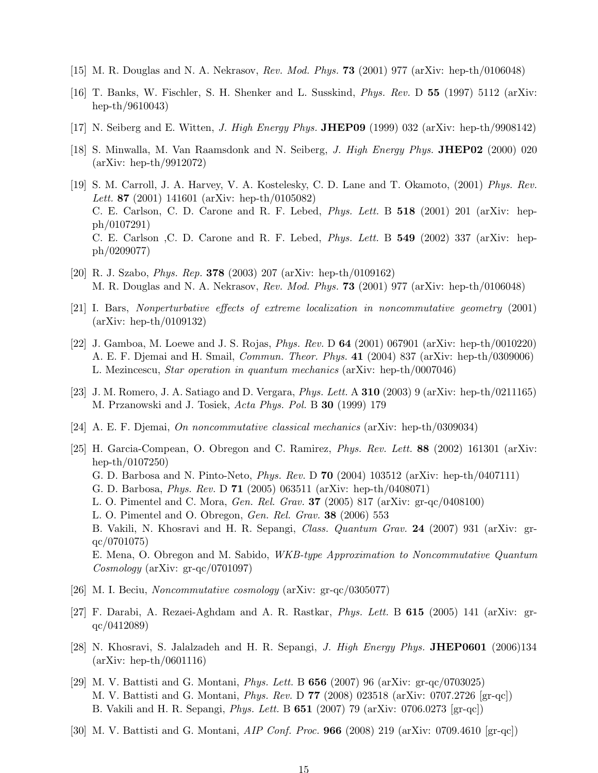- [15] M. R. Douglas and N. A. Nekrasov, Rev. Mod. Phys. 73 (2001) 977 (arXiv: hep-th/0106048)
- [16] T. Banks, W. Fischler, S. H. Shenker and L. Susskind, Phys. Rev. D 55 (1997) 5112 (arXiv: hep-th/9610043)
- [17] N. Seiberg and E. Witten, J. High Energy Phys. JHEP09 (1999) 032 (arXiv: hep-th/9908142)
- [18] S. Minwalla, M. Van Raamsdonk and N. Seiberg, J. High Energy Phys. JHEP02 (2000) 020 (arXiv: hep-th/9912072)
- [19] S. M. Carroll, J. A. Harvey, V. A. Kostelesky, C. D. Lane and T. Okamoto, (2001) Phys. Rev. Lett. 87 (2001) 141601 (arXiv: hep-th/0105082) C. E. Carlson, C. D. Carone and R. F. Lebed, Phys. Lett. B 518 (2001) 201 (arXiv: hepph/0107291) C. E. Carlson ,C. D. Carone and R. F. Lebed, Phys. Lett. B 549 (2002) 337 (arXiv: hepph/0209077)
- [20] R. J. Szabo, Phys. Rep. 378 (2003) 207 (arXiv: hep-th/0109162) M. R. Douglas and N. A. Nekrasov, Rev. Mod. Phys. 73 (2001) 977 (arXiv: hep-th/0106048)
- [21] I. Bars, Nonperturbative effects of extreme localization in noncommutative geometry (2001) (arXiv: hep-th/0109132)
- [22] J. Gamboa, M. Loewe and J. S. Rojas, Phys. Rev. D 64 (2001) 067901 (arXiv: hep-th/0010220) A. E. F. Djemai and H. Smail, Commun. Theor. Phys. 41 (2004) 837 (arXiv: hep-th/0309006) L. Mezincescu, Star operation in quantum mechanics (arXiv: hep-th/0007046)
- [23] J. M. Romero, J. A. Satiago and D. Vergara, *Phys. Lett.* A 310 (2003) 9 (arXiv: hep-th/0211165) M. Przanowski and J. Tosiek, Acta Phys. Pol. B 30 (1999) 179
- [24] A. E. F. Djemai, On noncommutative classical mechanics (arXiv: hep-th/0309034)
- [25] H. Garcia-Compean, O. Obregon and C. Ramirez, Phys. Rev. Lett. 88 (2002) 161301 (arXiv: hep-th/0107250) G. D. Barbosa and N. Pinto-Neto, Phys. Rev. D 70 (2004) 103512 (arXiv: hep-th/0407111) G. D. Barbosa, Phys. Rev. D 71 (2005) 063511 (arXiv: hep-th/0408071) L. O. Pimentel and C. Mora, Gen. Rel. Grav. 37 (2005) 817 (arXiv: gr-qc/0408100) L. O. Pimentel and O. Obregon, Gen. Rel. Grav. 38 (2006) 553 B. Vakili, N. Khosravi and H. R. Sepangi, Class. Quantum Grav. 24 (2007) 931 (arXiv: grqc/0701075) E. Mena, O. Obregon and M. Sabido, WKB-type Approximation to Noncommutative Quantum Cosmology (arXiv: gr-qc/0701097)
- [26] M. I. Beciu, Noncommutative cosmology (arXiv: gr-qc/0305077)
- [27] F. Darabi, A. Rezaei-Aghdam and A. R. Rastkar, Phys. Lett. B 615 (2005) 141 (arXiv: grqc/0412089)
- [28] N. Khosravi, S. Jalalzadeh and H. R. Sepangi, J. High Energy Phys. JHEP0601 (2006)134 (arXiv: hep-th/0601116)
- [29] M. V. Battisti and G. Montani, Phys. Lett. B 656 (2007) 96 (arXiv: gr-qc/0703025) M. V. Battisti and G. Montani, Phys. Rev. D 77 (2008) 023518 (arXiv: 0707.2726 [gr-qc]) B. Vakili and H. R. Sepangi, Phys. Lett. B 651 (2007) 79 (arXiv: 0706.0273 [gr-qc])
- [30] M. V. Battisti and G. Montani, AIP Conf. Proc. 966 (2008) 219 (arXiv: 0709.4610 [gr-qc])